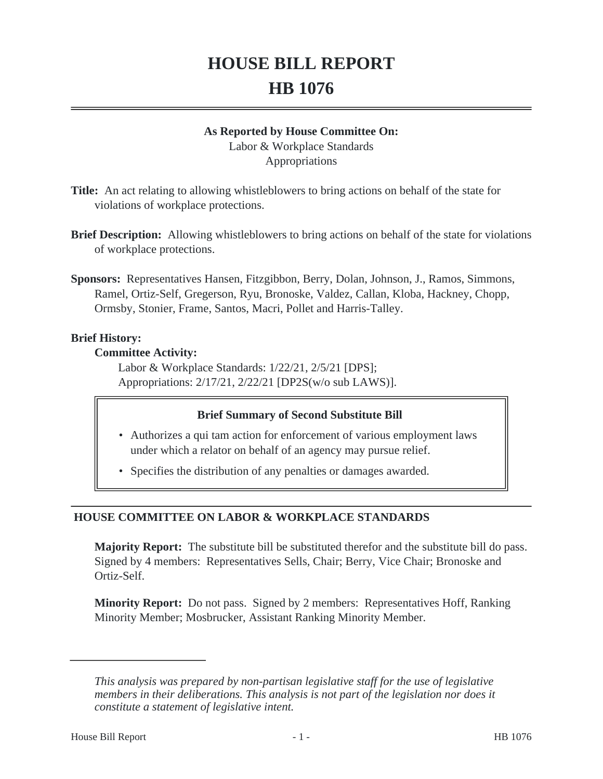# **HOUSE BILL REPORT HB 1076**

## **As Reported by House Committee On:**

Labor & Workplace Standards Appropriations

- **Title:** An act relating to allowing whistleblowers to bring actions on behalf of the state for violations of workplace protections.
- **Brief Description:** Allowing whistleblowers to bring actions on behalf of the state for violations of workplace protections.
- **Sponsors:** Representatives Hansen, Fitzgibbon, Berry, Dolan, Johnson, J., Ramos, Simmons, Ramel, Ortiz-Self, Gregerson, Ryu, Bronoske, Valdez, Callan, Kloba, Hackney, Chopp, Ormsby, Stonier, Frame, Santos, Macri, Pollet and Harris-Talley.

## **Brief History:**

## **Committee Activity:**

Labor & Workplace Standards: 1/22/21, 2/5/21 [DPS]; Appropriations: 2/17/21, 2/22/21 [DP2S(w/o sub LAWS)].

## **Brief Summary of Second Substitute Bill**

- Authorizes a qui tam action for enforcement of various employment laws under which a relator on behalf of an agency may pursue relief.
- Specifies the distribution of any penalties or damages awarded.

# **HOUSE COMMITTEE ON LABOR & WORKPLACE STANDARDS**

**Majority Report:** The substitute bill be substituted therefor and the substitute bill do pass. Signed by 4 members: Representatives Sells, Chair; Berry, Vice Chair; Bronoske and Ortiz-Self.

**Minority Report:** Do not pass. Signed by 2 members: Representatives Hoff, Ranking Minority Member; Mosbrucker, Assistant Ranking Minority Member.

*This analysis was prepared by non-partisan legislative staff for the use of legislative members in their deliberations. This analysis is not part of the legislation nor does it constitute a statement of legislative intent.*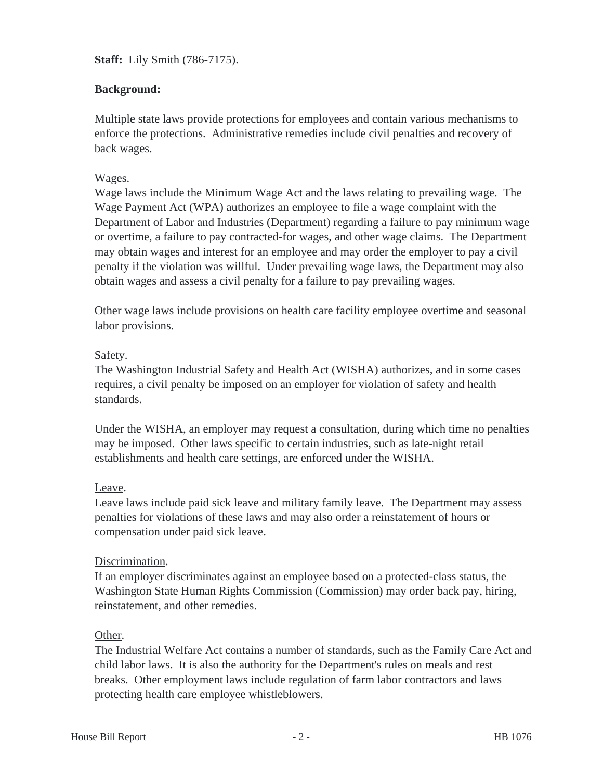**Staff:** Lily Smith (786-7175).

## **Background:**

Multiple state laws provide protections for employees and contain various mechanisms to enforce the protections. Administrative remedies include civil penalties and recovery of back wages.

#### Wages.

Wage laws include the Minimum Wage Act and the laws relating to prevailing wage. The Wage Payment Act (WPA) authorizes an employee to file a wage complaint with the Department of Labor and Industries (Department) regarding a failure to pay minimum wage or overtime, a failure to pay contracted-for wages, and other wage claims. The Department may obtain wages and interest for an employee and may order the employer to pay a civil penalty if the violation was willful. Under prevailing wage laws, the Department may also obtain wages and assess a civil penalty for a failure to pay prevailing wages.

Other wage laws include provisions on health care facility employee overtime and seasonal labor provisions.

#### Safety.

The Washington Industrial Safety and Health Act (WISHA) authorizes, and in some cases requires, a civil penalty be imposed on an employer for violation of safety and health standards.

Under the WISHA, an employer may request a consultation, during which time no penalties may be imposed. Other laws specific to certain industries, such as late-night retail establishments and health care settings, are enforced under the WISHA.

#### Leave.

Leave laws include paid sick leave and military family leave. The Department may assess penalties for violations of these laws and may also order a reinstatement of hours or compensation under paid sick leave.

#### Discrimination.

If an employer discriminates against an employee based on a protected-class status, the Washington State Human Rights Commission (Commission) may order back pay, hiring, reinstatement, and other remedies.

#### Other.

The Industrial Welfare Act contains a number of standards, such as the Family Care Act and child labor laws. It is also the authority for the Department's rules on meals and rest breaks. Other employment laws include regulation of farm labor contractors and laws protecting health care employee whistleblowers.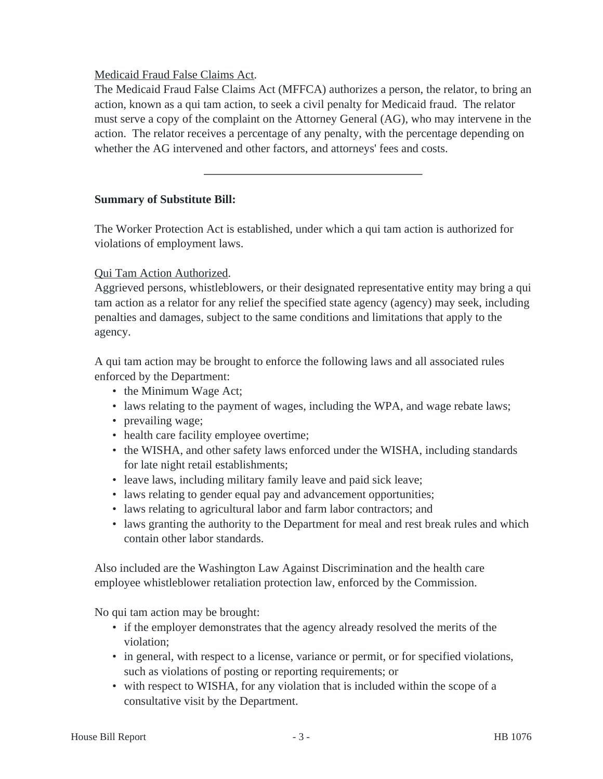## Medicaid Fraud False Claims Act.

The Medicaid Fraud False Claims Act (MFFCA) authorizes a person, the relator, to bring an action, known as a qui tam action, to seek a civil penalty for Medicaid fraud. The relator must serve a copy of the complaint on the Attorney General (AG), who may intervene in the action. The relator receives a percentage of any penalty, with the percentage depending on whether the AG intervened and other factors, and attorneys' fees and costs.

#### **Summary of Substitute Bill:**

The Worker Protection Act is established, under which a qui tam action is authorized for violations of employment laws.

## Qui Tam Action Authorized.

Aggrieved persons, whistleblowers, or their designated representative entity may bring a qui tam action as a relator for any relief the specified state agency (agency) may seek, including penalties and damages, subject to the same conditions and limitations that apply to the agency.

A qui tam action may be brought to enforce the following laws and all associated rules enforced by the Department:

- the Minimum Wage Act;
- laws relating to the payment of wages, including the WPA, and wage rebate laws;
- prevailing wage;
- health care facility employee overtime;
- the WISHA, and other safety laws enforced under the WISHA, including standards for late night retail establishments;
- leave laws, including military family leave and paid sick leave;
- laws relating to gender equal pay and advancement opportunities;
- laws relating to agricultural labor and farm labor contractors; and
- laws granting the authority to the Department for meal and rest break rules and which contain other labor standards.

Also included are the Washington Law Against Discrimination and the health care employee whistleblower retaliation protection law, enforced by the Commission.

No qui tam action may be brought:

- if the employer demonstrates that the agency already resolved the merits of the violation;
- in general, with respect to a license, variance or permit, or for specified violations, such as violations of posting or reporting requirements; or
- with respect to WISHA, for any violation that is included within the scope of a consultative visit by the Department.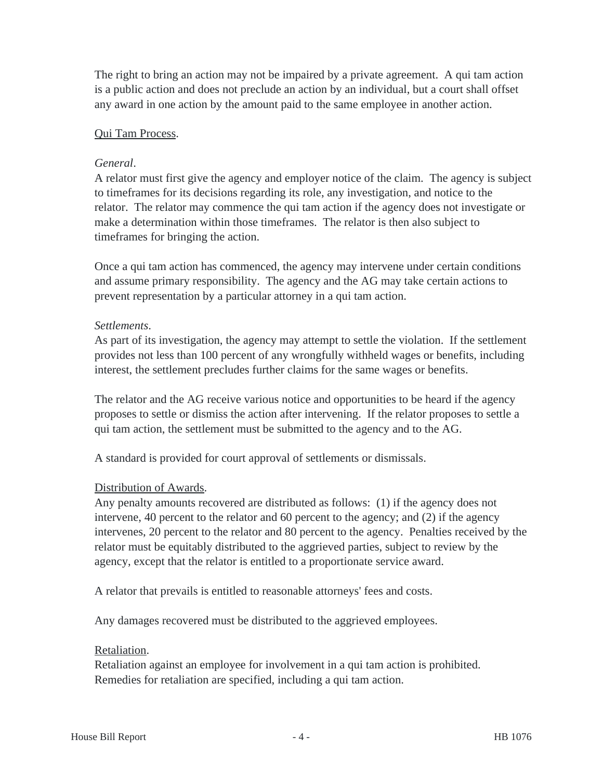The right to bring an action may not be impaired by a private agreement. A qui tam action is a public action and does not preclude an action by an individual, but a court shall offset any award in one action by the amount paid to the same employee in another action.

#### Qui Tam Process.

#### *General*.

A relator must first give the agency and employer notice of the claim. The agency is subject to timeframes for its decisions regarding its role, any investigation, and notice to the relator. The relator may commence the qui tam action if the agency does not investigate or make a determination within those timeframes. The relator is then also subject to timeframes for bringing the action.

Once a qui tam action has commenced, the agency may intervene under certain conditions and assume primary responsibility. The agency and the AG may take certain actions to prevent representation by a particular attorney in a qui tam action.

#### *Settlements*.

As part of its investigation, the agency may attempt to settle the violation. If the settlement provides not less than 100 percent of any wrongfully withheld wages or benefits, including interest, the settlement precludes further claims for the same wages or benefits.

The relator and the AG receive various notice and opportunities to be heard if the agency proposes to settle or dismiss the action after intervening. If the relator proposes to settle a qui tam action, the settlement must be submitted to the agency and to the AG.

A standard is provided for court approval of settlements or dismissals.

#### Distribution of Awards.

Any penalty amounts recovered are distributed as follows: (1) if the agency does not intervene, 40 percent to the relator and 60 percent to the agency; and (2) if the agency intervenes, 20 percent to the relator and 80 percent to the agency. Penalties received by the relator must be equitably distributed to the aggrieved parties, subject to review by the agency, except that the relator is entitled to a proportionate service award.

A relator that prevails is entitled to reasonable attorneys' fees and costs.

Any damages recovered must be distributed to the aggrieved employees.

#### Retaliation.

Retaliation against an employee for involvement in a qui tam action is prohibited. Remedies for retaliation are specified, including a qui tam action.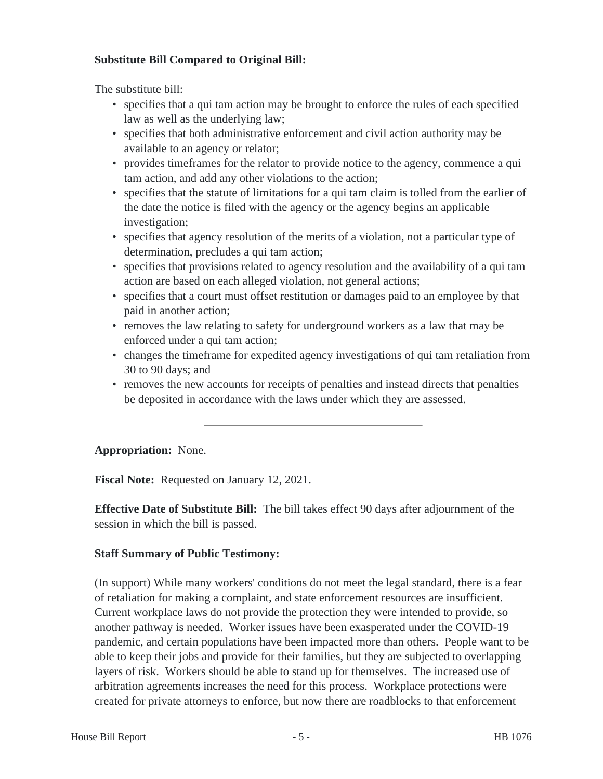## **Substitute Bill Compared to Original Bill:**

The substitute bill:

- specifies that a qui tam action may be brought to enforce the rules of each specified law as well as the underlying law;
- specifies that both administrative enforcement and civil action authority may be available to an agency or relator;
- provides timeframes for the relator to provide notice to the agency, commence a qui tam action, and add any other violations to the action;
- specifies that the statute of limitations for a qui tam claim is tolled from the earlier of the date the notice is filed with the agency or the agency begins an applicable investigation;
- specifies that agency resolution of the merits of a violation, not a particular type of determination, precludes a qui tam action;
- specifies that provisions related to agency resolution and the availability of a qui tam action are based on each alleged violation, not general actions;
- specifies that a court must offset restitution or damages paid to an employee by that paid in another action;
- removes the law relating to safety for underground workers as a law that may be enforced under a qui tam action;
- changes the timeframe for expedited agency investigations of qui tam retaliation from 30 to 90 days; and
- removes the new accounts for receipts of penalties and instead directs that penalties be deposited in accordance with the laws under which they are assessed.

## **Appropriation:** None.

**Fiscal Note:** Requested on January 12, 2021.

**Effective Date of Substitute Bill:** The bill takes effect 90 days after adjournment of the session in which the bill is passed.

## **Staff Summary of Public Testimony:**

(In support) While many workers' conditions do not meet the legal standard, there is a fear of retaliation for making a complaint, and state enforcement resources are insufficient. Current workplace laws do not provide the protection they were intended to provide, so another pathway is needed. Worker issues have been exasperated under the COVID-19 pandemic, and certain populations have been impacted more than others. People want to be able to keep their jobs and provide for their families, but they are subjected to overlapping layers of risk. Workers should be able to stand up for themselves. The increased use of arbitration agreements increases the need for this process. Workplace protections were created for private attorneys to enforce, but now there are roadblocks to that enforcement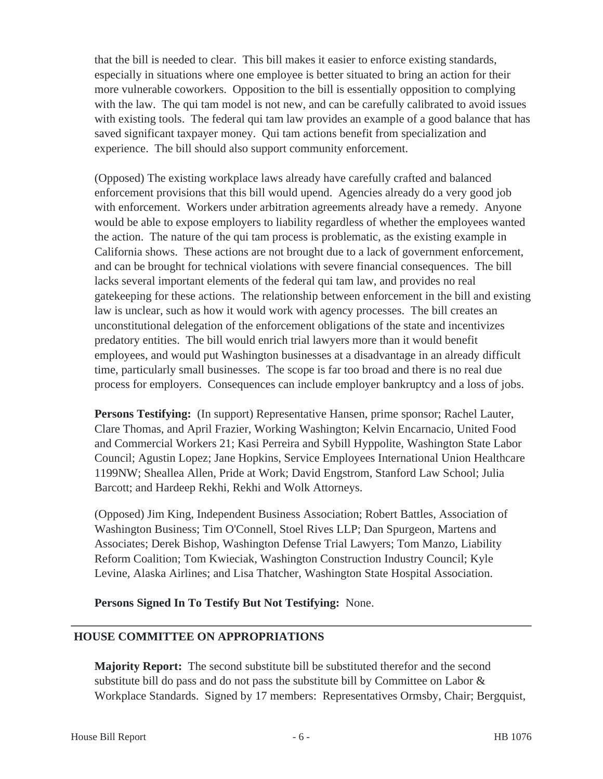that the bill is needed to clear. This bill makes it easier to enforce existing standards, especially in situations where one employee is better situated to bring an action for their more vulnerable coworkers. Opposition to the bill is essentially opposition to complying with the law. The qui tam model is not new, and can be carefully calibrated to avoid issues with existing tools. The federal qui tam law provides an example of a good balance that has saved significant taxpayer money. Qui tam actions benefit from specialization and experience. The bill should also support community enforcement.

(Opposed) The existing workplace laws already have carefully crafted and balanced enforcement provisions that this bill would upend. Agencies already do a very good job with enforcement. Workers under arbitration agreements already have a remedy. Anyone would be able to expose employers to liability regardless of whether the employees wanted the action. The nature of the qui tam process is problematic, as the existing example in California shows. These actions are not brought due to a lack of government enforcement, and can be brought for technical violations with severe financial consequences. The bill lacks several important elements of the federal qui tam law, and provides no real gatekeeping for these actions. The relationship between enforcement in the bill and existing law is unclear, such as how it would work with agency processes. The bill creates an unconstitutional delegation of the enforcement obligations of the state and incentivizes predatory entities. The bill would enrich trial lawyers more than it would benefit employees, and would put Washington businesses at a disadvantage in an already difficult time, particularly small businesses. The scope is far too broad and there is no real due process for employers. Consequences can include employer bankruptcy and a loss of jobs.

**Persons Testifying:** (In support) Representative Hansen, prime sponsor; Rachel Lauter, Clare Thomas, and April Frazier, Working Washington; Kelvin Encarnacio, United Food and Commercial Workers 21; Kasi Perreira and Sybill Hyppolite, Washington State Labor Council; Agustin Lopez; Jane Hopkins, Service Employees International Union Healthcare 1199NW; Sheallea Allen, Pride at Work; David Engstrom, Stanford Law School; Julia Barcott; and Hardeep Rekhi, Rekhi and Wolk Attorneys.

(Opposed) Jim King, Independent Business Association; Robert Battles, Association of Washington Business; Tim O'Connell, Stoel Rives LLP; Dan Spurgeon, Martens and Associates; Derek Bishop, Washington Defense Trial Lawyers; Tom Manzo, Liability Reform Coalition; Tom Kwieciak, Washington Construction Industry Council; Kyle Levine, Alaska Airlines; and Lisa Thatcher, Washington State Hospital Association.

**Persons Signed In To Testify But Not Testifying:** None.

# **HOUSE COMMITTEE ON APPROPRIATIONS**

**Majority Report:** The second substitute bill be substituted therefor and the second substitute bill do pass and do not pass the substitute bill by Committee on Labor & Workplace Standards. Signed by 17 members: Representatives Ormsby, Chair; Bergquist,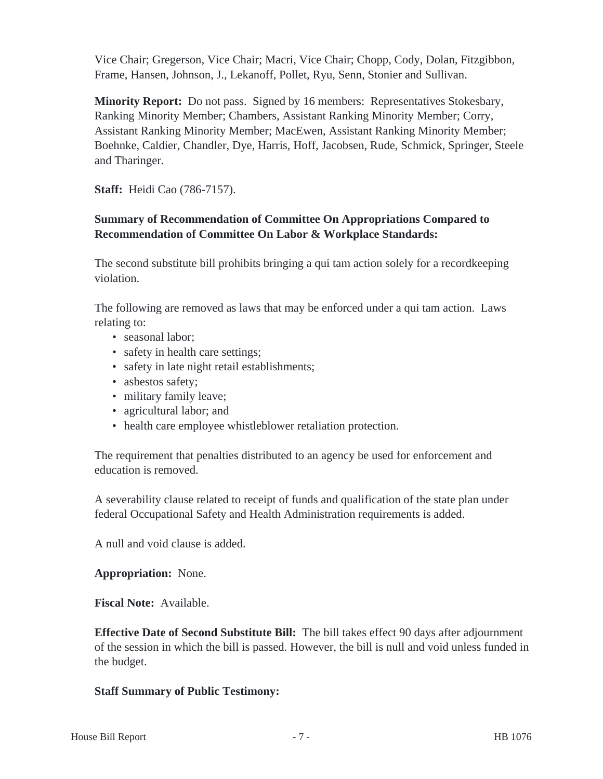Vice Chair; Gregerson, Vice Chair; Macri, Vice Chair; Chopp, Cody, Dolan, Fitzgibbon, Frame, Hansen, Johnson, J., Lekanoff, Pollet, Ryu, Senn, Stonier and Sullivan.

**Minority Report:** Do not pass. Signed by 16 members: Representatives Stokesbary, Ranking Minority Member; Chambers, Assistant Ranking Minority Member; Corry, Assistant Ranking Minority Member; MacEwen, Assistant Ranking Minority Member; Boehnke, Caldier, Chandler, Dye, Harris, Hoff, Jacobsen, Rude, Schmick, Springer, Steele and Tharinger.

**Staff:** Heidi Cao (786-7157).

# **Summary of Recommendation of Committee On Appropriations Compared to Recommendation of Committee On Labor & Workplace Standards:**

The second substitute bill prohibits bringing a qui tam action solely for a recordkeeping violation.

The following are removed as laws that may be enforced under a qui tam action. Laws relating to:

- seasonal labor:
- safety in health care settings;
- safety in late night retail establishments;
- asbestos safety;
- military family leave;
- agricultural labor; and
- health care employee whistleblower retaliation protection.

The requirement that penalties distributed to an agency be used for enforcement and education is removed.

A severability clause related to receipt of funds and qualification of the state plan under federal Occupational Safety and Health Administration requirements is added.

A null and void clause is added.

## **Appropriation:** None.

**Fiscal Note:** Available.

**Effective Date of Second Substitute Bill:** The bill takes effect 90 days after adjournment of the session in which the bill is passed. However, the bill is null and void unless funded in the budget.

## **Staff Summary of Public Testimony:**